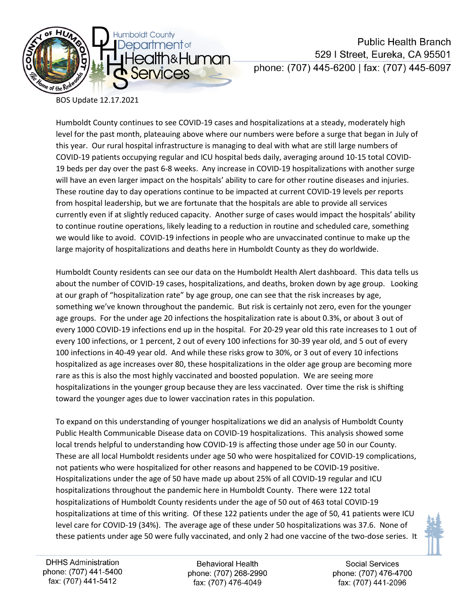

## **Public Health Branch** 529 | Street, Eureka, CA 95501 phone: (707) 445-6200 | fax: (707) 445-6097

BOS Update 12.17.2021

Humboldt County continues to see COVID-19 cases and hospitalizations at a steady, moderately high level for the past month, plateauing above where our numbers were before a surge that began in July of this year. Our rural hospital infrastructure is managing to deal with what are still large numbers of COVID-19 patients occupying regular and ICU hospital beds daily, averaging around 10-15 total COVID-19 beds per day over the past 6-8 weeks. Any increase in COVID-19 hospitalizations with another surge will have an even larger impact on the hospitals' ability to care for other routine diseases and injuries. These routine day to day operations continue to be impacted at current COVID-19 levels per reports from hospital leadership, but we are fortunate that the hospitals are able to provide all services currently even if at slightly reduced capacity. Another surge of cases would impact the hospitals' ability to continue routine operations, likely leading to a reduction in routine and scheduled care, something we would like to avoid. COVID-19 infections in people who are unvaccinated continue to make up the large majority of hospitalizations and deaths here in Humboldt County as they do worldwide.

Humboldt County residents can see our data on the Humboldt Health Alert dashboard. This data tells us about the number of COVID-19 cases, hospitalizations, and deaths, broken down by age group. Looking at our graph of "hospitalization rate" by age group, one can see that the risk increases by age, something we've known throughout the pandemic. But risk is certainly not zero, even for the younger age groups. For the under age 20 infections the hospitalization rate is about 0.3%, or about 3 out of every 1000 COVID-19 infections end up in the hospital. For 20-29 year old this rate increases to 1 out of every 100 infections, or 1 percent, 2 out of every 100 infections for 30-39 year old, and 5 out of every 100 infections in 40-49 year old. And while these risks grow to 30%, or 3 out of every 10 infections hospitalized as age increases over 80, these hospitalizations in the older age group are becoming more rare as this is also the most highly vaccinated and boosted population. We are seeing more hospitalizations in the younger group because they are less vaccinated. Over time the risk is shifting toward the younger ages due to lower vaccination rates in this population.

To expand on this understanding of younger hospitalizations we did an analysis of Humboldt County Public Health Communicable Disease data on COVID-19 hospitalizations. This analysis showed some local trends helpful to understanding how COVID-19 is affecting those under age 50 in our County. These are all local Humboldt residents under age 50 who were hospitalized for COVID-19 complications, not patients who were hospitalized for other reasons and happened to be COVID-19 positive. Hospitalizations under the age of 50 have made up about 25% of all COVID-19 regular and ICU hospitalizations throughout the pandemic here in Humboldt County. There were 122 total hospitalizations of Humboldt County residents under the age of 50 out of 463 total COVID-19 hospitalizations at time of this writing. Of these 122 patients under the age of 50, 41 patients were ICU level care for COVID-19 (34%). The average age of these under 50 hospitalizations was 37.6. None of these patients under age 50 were fully vaccinated, and only 2 had one vaccine of the two-dose series. It



**Behavioral Health** phone: (707) 268-2990 fax: (707) 476-4049